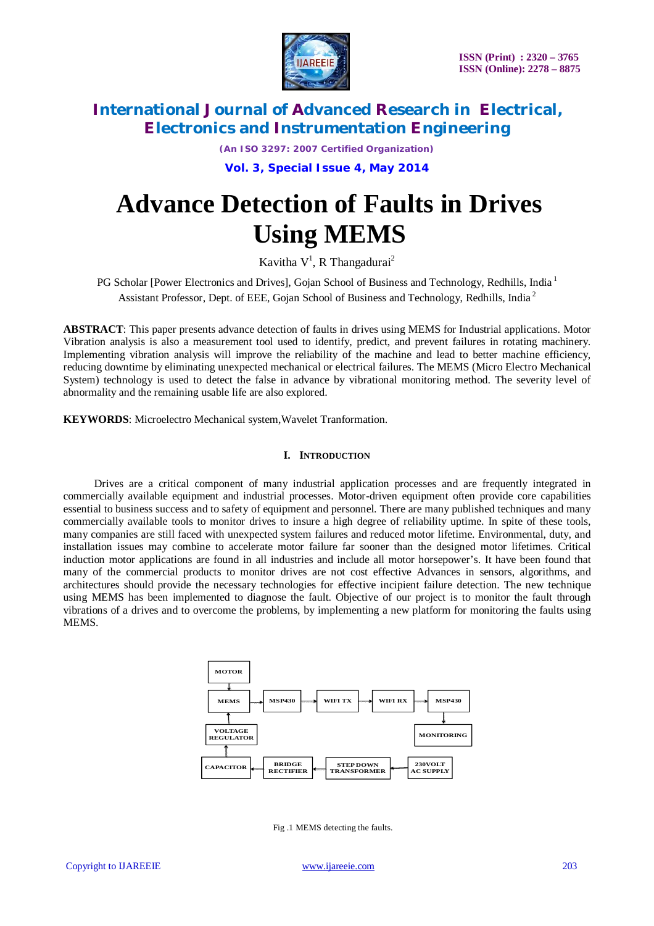

*(An ISO 3297: 2007 Certified Organization)*

**Vol. 3, Special Issue 4, May 2014**

# **Advance Detection of Faults in Drives Using MEMS**

Kavitha V<sup>1</sup>, R Thangadurai<sup>2</sup>

PG Scholar [Power Electronics and Drives], Gojan School of Business and Technology, Redhills, India<sup>1</sup> Assistant Professor, Dept. of EEE, Gojan School of Business and Technology, Redhills, India <sup>2</sup>

**ABSTRACT**: This paper presents advance detection of faults in drives using MEMS for Industrial applications. Motor Vibration analysis is also a measurement tool used to identify, predict, and prevent failures in rotating machinery. Implementing vibration analysis will improve the reliability of the machine and lead to better machine efficiency, reducing downtime by eliminating unexpected mechanical or electrical failures. The MEMS (Micro Electro Mechanical System) technology is used to detect the false in advance by vibrational monitoring method. The severity level of abnormality and the remaining usable life are also explored.

**KEYWORDS**: Microelectro Mechanical system,Wavelet Tranformation.

### **I. INTRODUCTION**

Drives are a critical component of many industrial application processes and are frequently integrated in commercially available equipment and industrial processes. Motor-driven equipment often provide core capabilities essential to business success and to safety of equipment and personnel. There are many published techniques and many commercially available tools to monitor drives to insure a high degree of reliability uptime. In spite of these tools, many companies are still faced with unexpected system failures and reduced motor lifetime. Environmental, duty, and installation issues may combine to accelerate motor failure far sooner than the designed motor lifetimes. Critical induction motor applications are found in all industries and include all motor horsepower's. It have been found that many of the commercial products to monitor drives are not cost effective Advances in sensors, algorithms, and architectures should provide the necessary technologies for effective incipient failure detection. The new technique using MEMS has been implemented to diagnose the fault. Objective of our project is to monitor the fault through vibrations of a drives and to overcome the problems, by implementing a new platform for monitoring the faults using MEMS.



Fig .1 MEMS detecting the faults.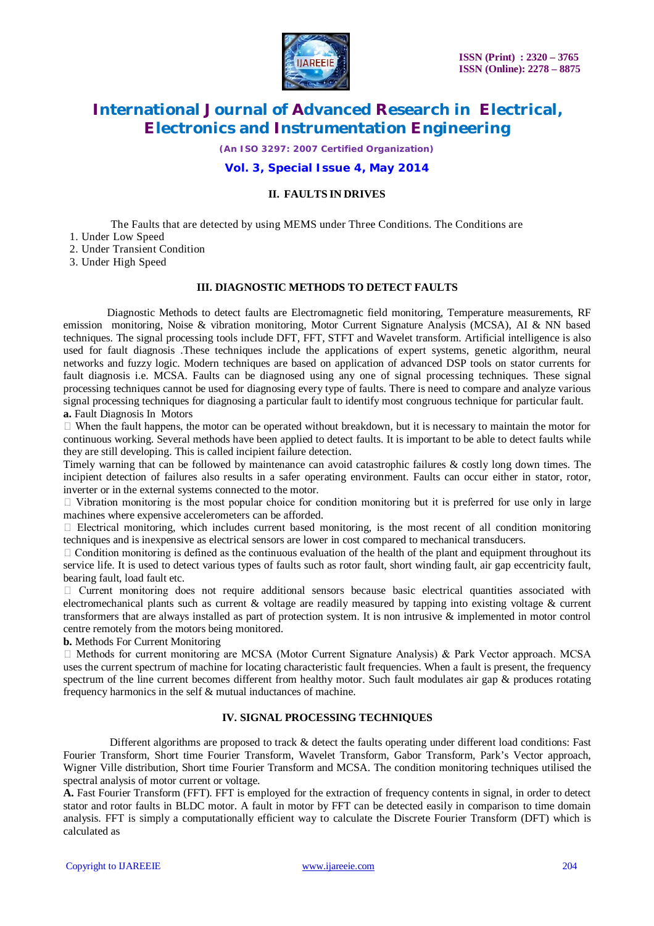

*(An ISO 3297: 2007 Certified Organization)*

## **Vol. 3, Special Issue 4, May 2014**

### **II. FAULTS IN DRIVES**

The Faults that are detected by using MEMS under Three Conditions. The Conditions are

- 1. Under Low Speed
- 2. Under Transient Condition
- 3. Under High Speed

### **III. DIAGNOSTIC METHODS TO DETECT FAULTS**

 Diagnostic Methods to detect faults are Electromagnetic field monitoring, Temperature measurements, RF emission monitoring, Noise & vibration monitoring, Motor Current Signature Analysis (MCSA), AI & NN based techniques. The signal processing tools include DFT, FFT, STFT and Wavelet transform. Artificial intelligence is also used for fault diagnosis .These techniques include the applications of expert systems, genetic algorithm, neural networks and fuzzy logic. Modern techniques are based on application of advanced DSP tools on stator currents for fault diagnosis i.e. MCSA. Faults can be diagnosed using any one of signal processing techniques. These signal processing techniques cannot be used for diagnosing every type of faults. There is need to compare and analyze various signal processing techniques for diagnosing a particular fault to identify most congruous technique for particular fault. **a.** Fault Diagnosis In Motors

 When the fault happens, the motor can be operated without breakdown, but it is necessary to maintain the motor for continuous working. Several methods have been applied to detect faults. It is important to be able to detect faults while they are still developing. This is called incipient failure detection.

Timely warning that can be followed by maintenance can avoid catastrophic failures & costly long down times. The incipient detection of failures also results in a safer operating environment. Faults can occur either in stator, rotor, inverter or in the external systems connected to the motor.

 $\Box$  Vibration monitoring is the most popular choice for condition monitoring but it is preferred for use only in large machines where expensive accelerometers can be afforded.

 $\Box$  Electrical monitoring, which includes current based monitoring, is the most recent of all condition monitoring techniques and is inexpensive as electrical sensors are lower in cost compared to mechanical transducers.

 $\Box$  Condition monitoring is defined as the continuous evaluation of the health of the plant and equipment throughout its service life. It is used to detect various types of faults such as rotor fault, short winding fault, air gap eccentricity fault, bearing fault, load fault etc.

 $\Box$  Current monitoring does not require additional sensors because basic electrical quantities associated with electromechanical plants such as current & voltage are readily measured by tapping into existing voltage & current transformers that are always installed as part of protection system. It is non intrusive & implemented in motor control centre remotely from the motors being monitored.

**b.** Methods For Current Monitoring

 $\Box$  Methods for current monitoring are MCSA (Motor Current Signature Analysis) & Park Vector approach. MCSA uses the current spectrum of machine for locating characteristic fault frequencies. When a fault is present, the frequency spectrum of the line current becomes different from healthy motor. Such fault modulates air gap & produces rotating frequency harmonics in the self & mutual inductances of machine.

### **IV. SIGNAL PROCESSING TECHNIQUES**

 Different algorithms are proposed to track & detect the faults operating under different load conditions: Fast Fourier Transform, Short time Fourier Transform, Wavelet Transform, Gabor Transform, Park's Vector approach, Wigner Ville distribution, Short time Fourier Transform and MCSA. The condition monitoring techniques utilised the spectral analysis of motor current or voltage.

**A.** Fast Fourier Transform (FFT). FFT is employed for the extraction of frequency contents in signal, in order to detect stator and rotor faults in BLDC motor. A fault in motor by FFT can be detected easily in comparison to time domain analysis. FFT is simply a computationally efficient way to calculate the Discrete Fourier Transform (DFT) which is calculated as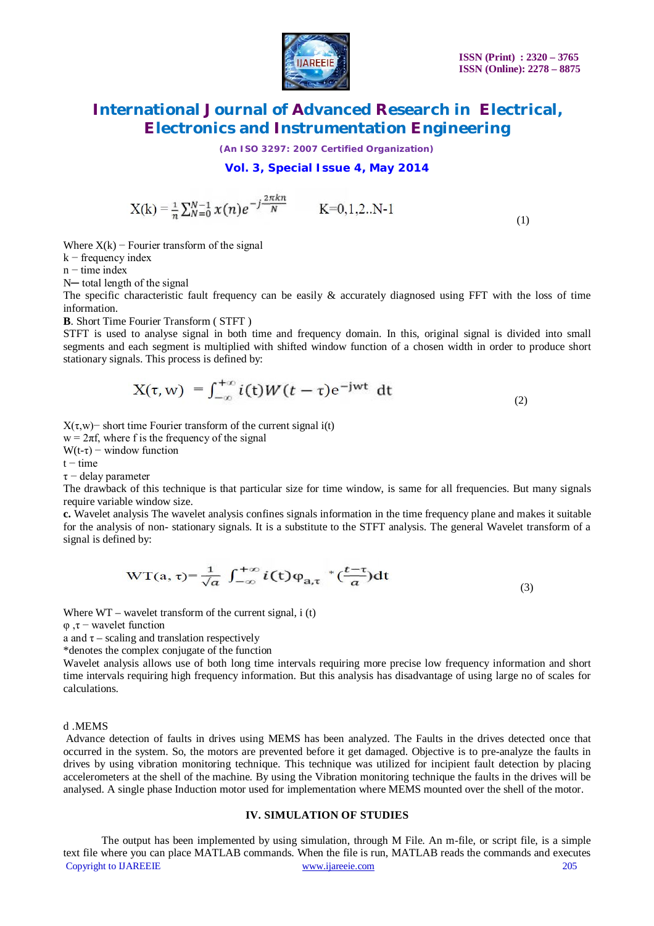

*(An ISO 3297: 2007 Certified Organization)*

### **Vol. 3, Special Issue 4, May 2014**

$$
X(k) = \frac{1}{n} \sum_{N=0}^{N-1} x(n) e^{-j\frac{2\pi kn}{N}} \qquad K=0,1,2..N-1
$$

(1)

Where  $X(k)$  – Fourier transform of the signal

 $k$  – frequency index

 $n - time$  index

N— total length of the signal

The specific characteristic fault frequency can be easily  $\&$  accurately diagnosed using FFT with the loss of time information.

**B**. Short Time Fourier Transform ( STFT )

STFT is used to analyse signal in both time and frequency domain. In this, original signal is divided into small segments and each segment is multiplied with shifted window function of a chosen width in order to produce short stationary signals. This process is defined by:

$$
X(\tau, w) = \int_{-\infty}^{+\infty} i(t)W(t-\tau)e^{-jwt} dt
$$
 (2)

X(τ,w)− short time Fourier transform of the current signal i(t)

 $w = 2\pi f$ , where f is the frequency of the signal

 $W(t-\tau)$  – window function

 $t - time$ 

τ − delay parameter

The drawback of this technique is that particular size for time window, is same for all frequencies. But many signals require variable window size.

**c.** Wavelet analysis The wavelet analysis confines signals information in the time frequency plane and makes it suitable for the analysis of non- stationary signals. It is a substitute to the STFT analysis. The general Wavelet transform of a signal is defined by:

$$
WT(a, \tau) = \frac{1}{\sqrt{a}} \int_{-\infty}^{+\infty} i(t) \varphi_{a,\tau} * \left(\frac{t-\tau}{a}\right) dt
$$
 (3)

Where  $WT -$  wavelet transform of the current signal, i (t)

φ ,τ − wavelet function

a and  $\tau$  – scaling and translation respectively

\*denotes the complex conjugate of the function

Wavelet analysis allows use of both long time intervals requiring more precise low frequency information and short time intervals requiring high frequency information. But this analysis has disadvantage of using large no of scales for calculations.

#### d .MEMS

Advance detection of faults in drives using MEMS has been analyzed. The Faults in the drives detected once that occurred in the system. So, the motors are prevented before it get damaged. Objective is to pre-analyze the faults in drives by using vibration monitoring technique. This technique was utilized for incipient fault detection by placing accelerometers at the shell of the machine. By using the Vibration monitoring technique the faults in the drives will be analysed. A single phase Induction motor used for implementation where MEMS mounted over the shell of the motor.

#### **IV. SIMULATION OF STUDIES**

Copyright to IJAREEIE www.ijareeie.com 205 The output has been implemented by using simulation, through M File. An m-file, or script file, is a simple text file where you can place MATLAB commands. When the file is run, MATLAB reads the commands and executes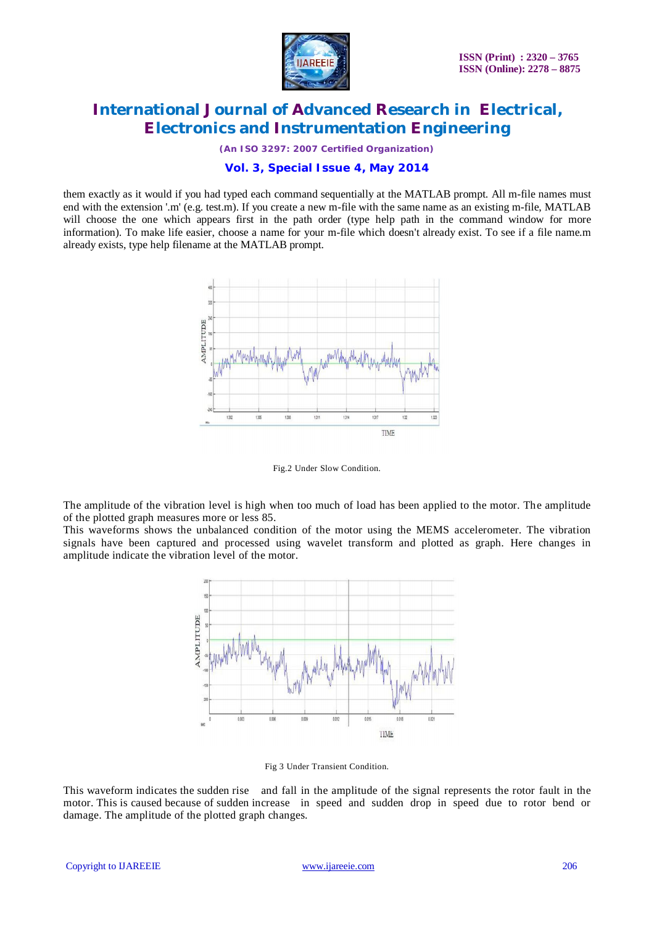

*(An ISO 3297: 2007 Certified Organization)*

# **Vol. 3, Special Issue 4, May 2014**

them exactly as it would if you had typed each command sequentially at the MATLAB prompt. All m-file names must end with the extension '.m' (e.g. test.m). If you create a new m-file with the same name as an existing m-file, MATLAB will choose the one which appears first in the path order (type help path in the command window for more information). To make life easier, choose a name for your m-file which doesn't already exist. To see if a file name.m already exists, type help filename at the MATLAB prompt.



Fig.2 Under Slow Condition.

The amplitude of the vibration level is high when too much of load has been applied to the motor. The amplitude of the plotted graph measures more or less 85.

This waveforms shows the unbalanced condition of the motor using the MEMS accelerometer. The vibration signals have been captured and processed using wavelet transform and plotted as graph. Here changes in amplitude indicate the vibration level of the motor.



Fig 3 Under Transient Condition.

This waveform indicates the sudden rise and fall in the amplitude of the signal represents the rotor fault in the motor. This is caused because of sudden increase in speed and sudden drop in speed due to rotor bend or damage. The amplitude of the plotted graph changes.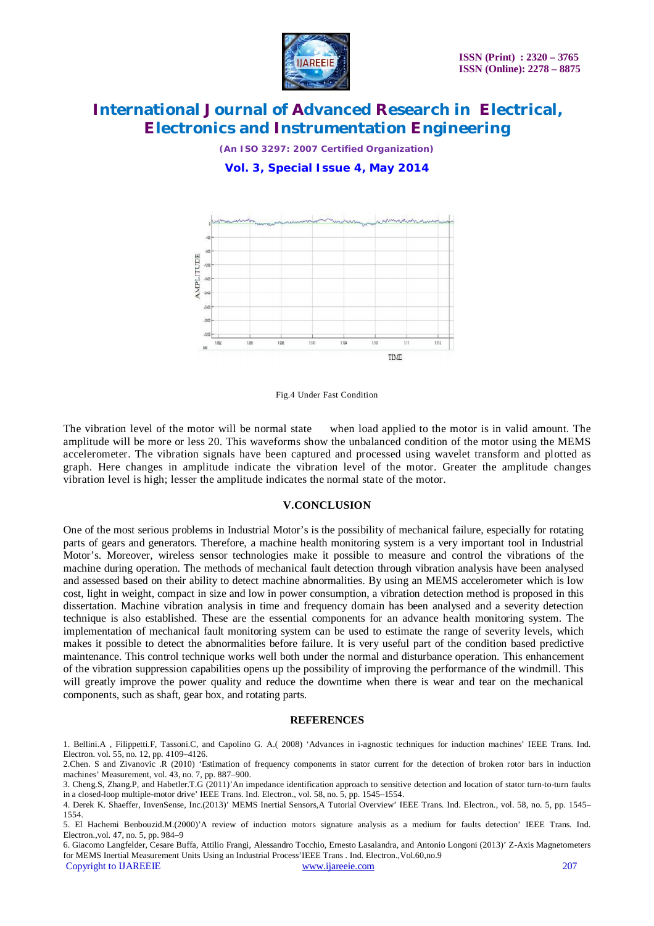

*(An ISO 3297: 2007 Certified Organization)*

**Vol. 3, Special Issue 4, May 2014**



Fig.4 Under Fast Condition

The vibration level of the motor will be normal state when load applied to the motor is in valid amount. The amplitude will be more or less 20. This waveforms show the unbalanced condition of the motor using the MEMS accelerometer. The vibration signals have been captured and processed using wavelet transform and plotted as graph. Here changes in amplitude indicate the vibration level of the motor. Greater the amplitude changes vibration level is high; lesser the amplitude indicates the normal state of the motor.

#### **V.CONCLUSION**

One of the most serious problems in Industrial Motor's is the possibility of mechanical failure, especially for rotating parts of gears and generators. Therefore, a machine health monitoring system is a very important tool in Industrial Motor's. Moreover, wireless sensor technologies make it possible to measure and control the vibrations of the machine during operation. The methods of mechanical fault detection through vibration analysis have been analysed and assessed based on their ability to detect machine abnormalities. By using an MEMS accelerometer which is low cost, light in weight, compact in size and low in power consumption, a vibration detection method is proposed in this dissertation. Machine vibration analysis in time and frequency domain has been analysed and a severity detection technique is also established. These are the essential components for an advance health monitoring system. The implementation of mechanical fault monitoring system can be used to estimate the range of severity levels, which makes it possible to detect the abnormalities before failure. It is very useful part of the condition based predictive maintenance. This control technique works well both under the normal and disturbance operation. This enhancement of the vibration suppression capabilities opens up the possibility of improving the performance of the windmill. This will greatly improve the power quality and reduce the downtime when there is wear and tear on the mechanical components, such as shaft, gear box, and rotating parts.

#### **REFERENCES**

<sup>1.</sup> Bellini.A , Filippetti.F, Tassoni.C, and Capolino G. A.( 2008) 'Advances in i-agnostic techniques for induction machines' IEEE Trans. Ind. Electron. vol. 55, no. 12, pp. 4109–4126.

<sup>2.</sup>Chen. S and Zivanovic .R (2010) 'Estimation of frequency components in stator current for the detection of broken rotor bars in induction machines' Measurement, vol. 43, no. 7, pp. 887–900.

<sup>3.</sup> Cheng.S, Zhang.P, and Habetler.T.G (2011)'An impedance identification approach to sensitive detection and location of stator turn-to-turn faults in a closed-loop multiple-motor drive' IEEE Trans. Ind. Electron., vol. 58, no. 5, pp. 1545–1554.

<sup>4.</sup> Derek K. Shaeffer, InvenSense, Inc.(2013)' MEMS Inertial Sensors,A Tutorial Overview' IEEE Trans. Ind. Electron., vol. 58, no. 5, pp. 1545– 1554.

<sup>5.</sup> El Hachemi Benbouzid.M.(2000)'A review of induction motors signature analysis as a medium for faults detection' IEEE Trans. Ind. Electron.,vol. 47, no. 5, pp. 984–9

Copyright to IJAREEIE www.ijareeie.com 207 6. Giacomo Langfelder, Cesare Buffa, Attilio Frangi, Alessandro Tocchio, Ernesto Lasalandra, and Antonio Longoni (2013)' Z-Axis Magnetometers for MEMS Inertial Measurement Units Using an Industrial Process'IEEE Trans . Ind. Electron.,Vol.60,no.9